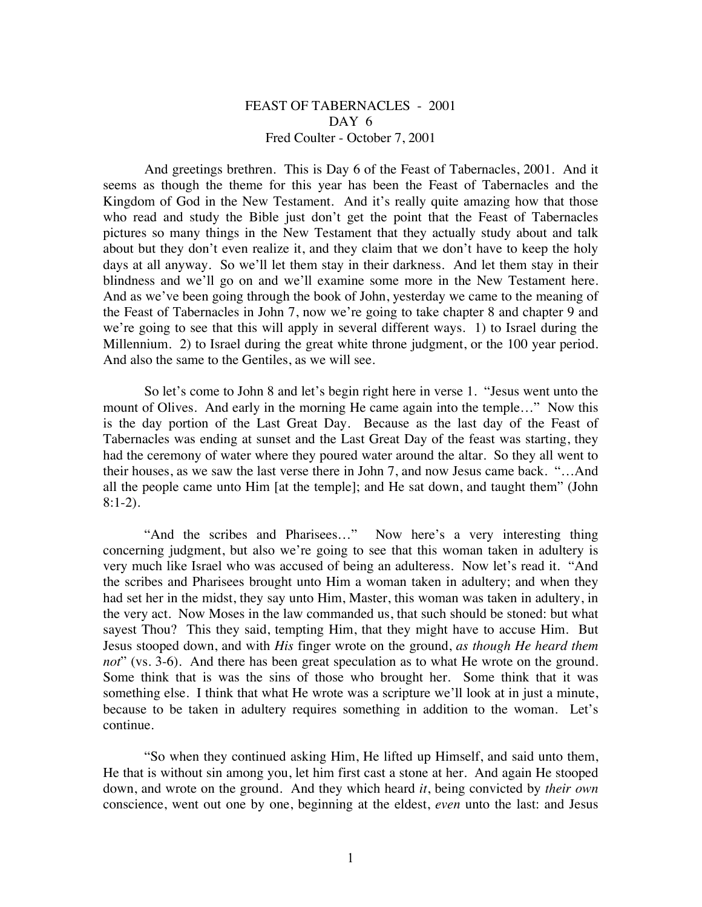## FEAST OF TABERNACLES - 2001 DAY 6 Fred Coulter - October 7, 2001

And greetings brethren. This is Day 6 of the Feast of Tabernacles, 2001. And it seems as though the theme for this year has been the Feast of Tabernacles and the Kingdom of God in the New Testament. And it's really quite amazing how that those who read and study the Bible just don't get the point that the Feast of Tabernacles pictures so many things in the New Testament that they actually study about and talk about but they don't even realize it, and they claim that we don't have to keep the holy days at all anyway. So we'll let them stay in their darkness. And let them stay in their blindness and we'll go on and we'll examine some more in the New Testament here. And as we've been going through the book of John, yesterday we came to the meaning of the Feast of Tabernacles in John 7, now we're going to take chapter 8 and chapter 9 and we're going to see that this will apply in several different ways. 1) to Israel during the Millennium. 2) to Israel during the great white throne judgment, or the 100 year period. And also the same to the Gentiles, as we will see.

So let's come to John 8 and let's begin right here in verse 1. "Jesus went unto the mount of Olives. And early in the morning He came again into the temple..." Now this is the day portion of the Last Great Day. Because as the last day of the Feast of Tabernacles was ending at sunset and the Last Great Day of the feast was starting, they had the ceremony of water where they poured water around the altar. So they all went to their houses, as we saw the last verse there in John 7, and now Jesus came back. "…And all the people came unto Him [at the temple]; and He sat down, and taught them" (John  $8:1-2$ ).

"And the scribes and Pharisees…" Now here's a very interesting thing concerning judgment, but also we're going to see that this woman taken in adultery is very much like Israel who was accused of being an adulteress. Now let's read it. "And the scribes and Pharisees brought unto Him a woman taken in adultery; and when they had set her in the midst, they say unto Him, Master, this woman was taken in adultery, in the very act. Now Moses in the law commanded us, that such should be stoned: but what sayest Thou? This they said, tempting Him, that they might have to accuse Him. But Jesus stooped down, and with *His* finger wrote on the ground, *as though He heard them not*" (vs. 3-6). And there has been great speculation as to what He wrote on the ground. Some think that is was the sins of those who brought her. Some think that it was something else. I think that what He wrote was a scripture we'll look at in just a minute, because to be taken in adultery requires something in addition to the woman. Let's continue.

"So when they continued asking Him, He lifted up Himself, and said unto them, He that is without sin among you, let him first cast a stone at her. And again He stooped down, and wrote on the ground. And they which heard *it*, being convicted by *their own* conscience, went out one by one, beginning at the eldest, *even* unto the last: and Jesus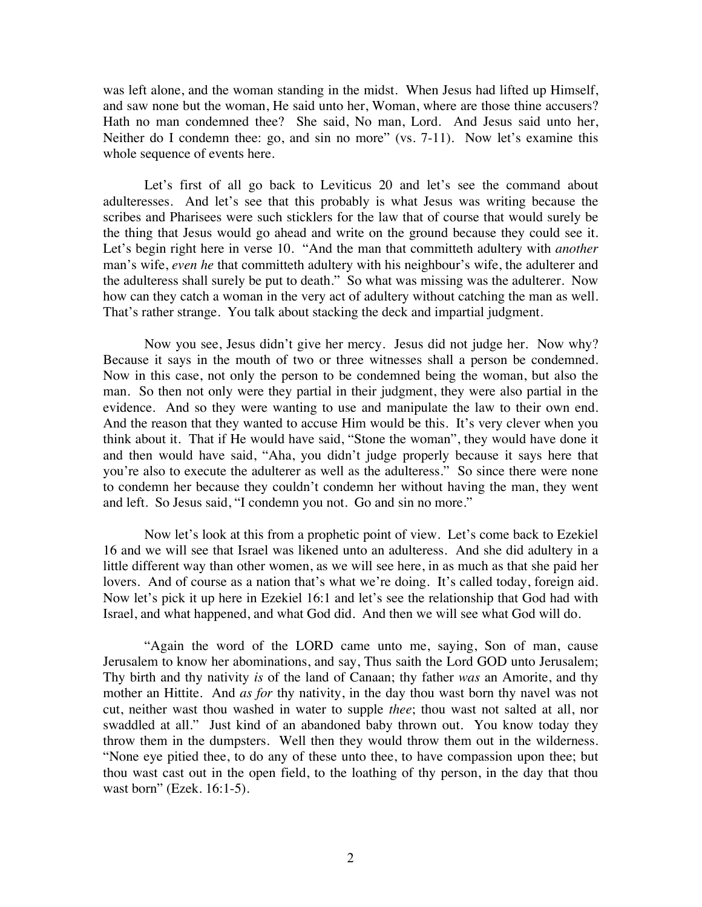was left alone, and the woman standing in the midst. When Jesus had lifted up Himself, and saw none but the woman, He said unto her, Woman, where are those thine accusers? Hath no man condemned thee? She said, No man, Lord. And Jesus said unto her, Neither do I condemn thee: go, and sin no more" (vs. 7-11). Now let's examine this whole sequence of events here.

Let's first of all go back to Leviticus 20 and let's see the command about adulteresses. And let's see that this probably is what Jesus was writing because the scribes and Pharisees were such sticklers for the law that of course that would surely be the thing that Jesus would go ahead and write on the ground because they could see it. Let's begin right here in verse 10. "And the man that committeth adultery with *another* man's wife, *even he* that committeth adultery with his neighbour's wife, the adulterer and the adulteress shall surely be put to death." So what was missing was the adulterer. Now how can they catch a woman in the very act of adultery without catching the man as well. That's rather strange. You talk about stacking the deck and impartial judgment.

Now you see, Jesus didn't give her mercy. Jesus did not judge her. Now why? Because it says in the mouth of two or three witnesses shall a person be condemned. Now in this case, not only the person to be condemned being the woman, but also the man. So then not only were they partial in their judgment, they were also partial in the evidence. And so they were wanting to use and manipulate the law to their own end. And the reason that they wanted to accuse Him would be this. It's very clever when you think about it. That if He would have said, "Stone the woman", they would have done it and then would have said, "Aha, you didn't judge properly because it says here that you're also to execute the adulterer as well as the adulteress." So since there were none to condemn her because they couldn't condemn her without having the man, they went and left. So Jesus said, "I condemn you not. Go and sin no more."

Now let's look at this from a prophetic point of view. Let's come back to Ezekiel 16 and we will see that Israel was likened unto an adulteress. And she did adultery in a little different way than other women, as we will see here, in as much as that she paid her lovers. And of course as a nation that's what we're doing. It's called today, foreign aid. Now let's pick it up here in Ezekiel 16:1 and let's see the relationship that God had with Israel, and what happened, and what God did. And then we will see what God will do.

"Again the word of the LORD came unto me, saying, Son of man, cause Jerusalem to know her abominations, and say, Thus saith the Lord GOD unto Jerusalem; Thy birth and thy nativity *is* of the land of Canaan; thy father *was* an Amorite, and thy mother an Hittite. And *as for* thy nativity, in the day thou wast born thy navel was not cut, neither wast thou washed in water to supple *thee*; thou wast not salted at all, nor swaddled at all." Just kind of an abandoned baby thrown out. You know today they throw them in the dumpsters. Well then they would throw them out in the wilderness. "None eye pitied thee, to do any of these unto thee, to have compassion upon thee; but thou wast cast out in the open field, to the loathing of thy person, in the day that thou wast born" (Ezek. 16:1-5).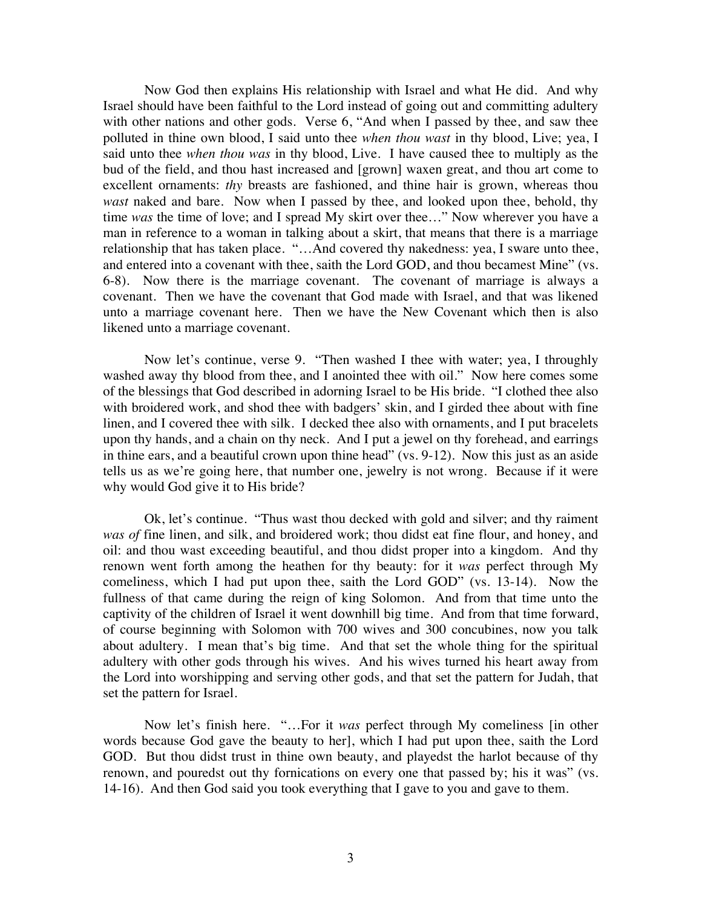Now God then explains His relationship with Israel and what He did. And why Israel should have been faithful to the Lord instead of going out and committing adultery with other nations and other gods. Verse 6, "And when I passed by thee, and saw thee polluted in thine own blood, I said unto thee *when thou wast* in thy blood, Live; yea, I said unto thee *when thou was* in thy blood, Live. I have caused thee to multiply as the bud of the field, and thou hast increased and [grown] waxen great, and thou art come to excellent ornaments: *thy* breasts are fashioned, and thine hair is grown, whereas thou *wast* naked and bare. Now when I passed by thee, and looked upon thee, behold, thy time *was* the time of love; and I spread My skirt over thee…" Now wherever you have a man in reference to a woman in talking about a skirt, that means that there is a marriage relationship that has taken place. "…And covered thy nakedness: yea, I sware unto thee, and entered into a covenant with thee, saith the Lord GOD, and thou becamest Mine" (vs. 6-8). Now there is the marriage covenant. The covenant of marriage is always a covenant. Then we have the covenant that God made with Israel, and that was likened unto a marriage covenant here. Then we have the New Covenant which then is also likened unto a marriage covenant.

Now let's continue, verse 9. "Then washed I thee with water; yea, I throughly washed away thy blood from thee, and I anointed thee with oil." Now here comes some of the blessings that God described in adorning Israel to be His bride. "I clothed thee also with broidered work, and shod thee with badgers' skin, and I girded thee about with fine linen, and I covered thee with silk. I decked thee also with ornaments, and I put bracelets upon thy hands, and a chain on thy neck. And I put a jewel on thy forehead, and earrings in thine ears, and a beautiful crown upon thine head" (vs. 9-12). Now this just as an aside tells us as we're going here, that number one, jewelry is not wrong. Because if it were why would God give it to His bride?

Ok, let's continue. "Thus wast thou decked with gold and silver; and thy raiment *was of* fine linen, and silk, and broidered work; thou didst eat fine flour, and honey, and oil: and thou wast exceeding beautiful, and thou didst proper into a kingdom. And thy renown went forth among the heathen for thy beauty: for it *was* perfect through My comeliness, which I had put upon thee, saith the Lord GOD" (vs. 13-14). Now the fullness of that came during the reign of king Solomon. And from that time unto the captivity of the children of Israel it went downhill big time. And from that time forward, of course beginning with Solomon with 700 wives and 300 concubines, now you talk about adultery. I mean that's big time. And that set the whole thing for the spiritual adultery with other gods through his wives. And his wives turned his heart away from the Lord into worshipping and serving other gods, and that set the pattern for Judah, that set the pattern for Israel.

Now let's finish here. "…For it *was* perfect through My comeliness [in other words because God gave the beauty to her], which I had put upon thee, saith the Lord GOD. But thou didst trust in thine own beauty, and playedst the harlot because of thy renown, and pouredst out thy fornications on every one that passed by; his it was" (vs. 14-16). And then God said you took everything that I gave to you and gave to them.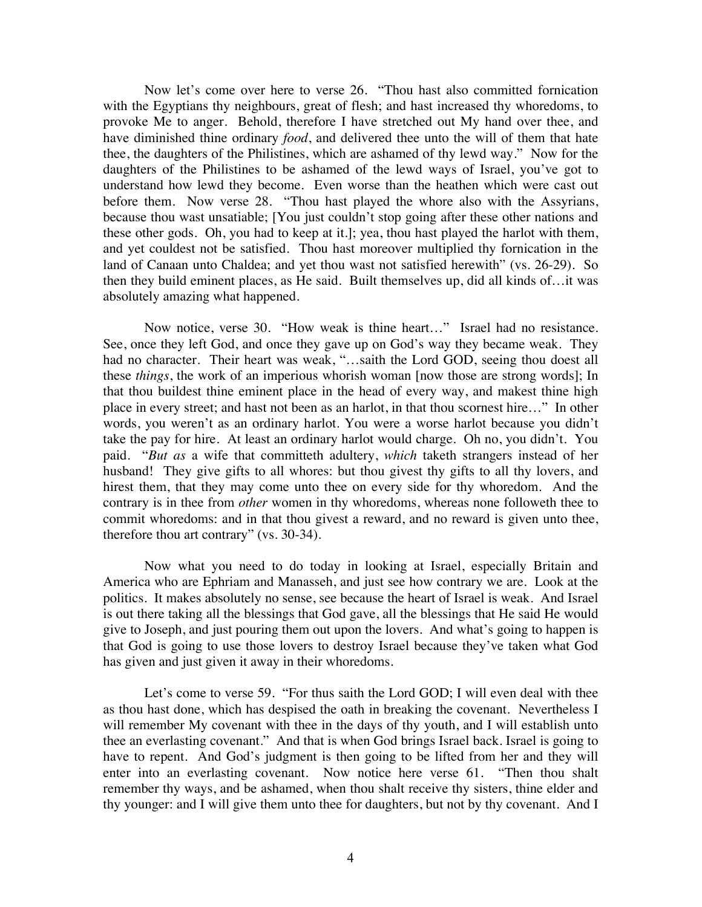Now let's come over here to verse 26. "Thou hast also committed fornication with the Egyptians thy neighbours, great of flesh; and hast increased thy whoredoms, to provoke Me to anger. Behold, therefore I have stretched out My hand over thee, and have diminished thine ordinary *food*, and delivered thee unto the will of them that hate thee, the daughters of the Philistines, which are ashamed of thy lewd way." Now for the daughters of the Philistines to be ashamed of the lewd ways of Israel, you've got to understand how lewd they become. Even worse than the heathen which were cast out before them. Now verse 28. "Thou hast played the whore also with the Assyrians, because thou wast unsatiable; [You just couldn't stop going after these other nations and these other gods. Oh, you had to keep at it.]; yea, thou hast played the harlot with them, and yet couldest not be satisfied. Thou hast moreover multiplied thy fornication in the land of Canaan unto Chaldea; and yet thou wast not satisfied herewith" (vs. 26-29). So then they build eminent places, as He said. Built themselves up, did all kinds of…it was absolutely amazing what happened.

Now notice, verse 30. "How weak is thine heart…" Israel had no resistance. See, once they left God, and once they gave up on God's way they became weak. They had no character. Their heart was weak, "...saith the Lord GOD, seeing thou doest all these *things*, the work of an imperious whorish woman [now those are strong words]; In that thou buildest thine eminent place in the head of every way, and makest thine high place in every street; and hast not been as an harlot, in that thou scornest hire…" In other words, you weren't as an ordinary harlot. You were a worse harlot because you didn't take the pay for hire. At least an ordinary harlot would charge. Oh no, you didn't. You paid. "*But as* a wife that committeth adultery, *which* taketh strangers instead of her husband! They give gifts to all whores: but thou givest thy gifts to all thy lovers, and hirest them, that they may come unto thee on every side for thy whoredom. And the contrary is in thee from *other* women in thy whoredoms, whereas none followeth thee to commit whoredoms: and in that thou givest a reward, and no reward is given unto thee, therefore thou art contrary" (vs. 30-34).

Now what you need to do today in looking at Israel, especially Britain and America who are Ephriam and Manasseh, and just see how contrary we are. Look at the politics. It makes absolutely no sense, see because the heart of Israel is weak. And Israel is out there taking all the blessings that God gave, all the blessings that He said He would give to Joseph, and just pouring them out upon the lovers. And what's going to happen is that God is going to use those lovers to destroy Israel because they've taken what God has given and just given it away in their whoredoms.

Let's come to verse 59. "For thus saith the Lord GOD; I will even deal with thee as thou hast done, which has despised the oath in breaking the covenant. Nevertheless I will remember My covenant with thee in the days of thy youth, and I will establish unto thee an everlasting covenant." And that is when God brings Israel back. Israel is going to have to repent. And God's judgment is then going to be lifted from her and they will enter into an everlasting covenant. Now notice here verse 61. "Then thou shalt remember thy ways, and be ashamed, when thou shalt receive thy sisters, thine elder and thy younger: and I will give them unto thee for daughters, but not by thy covenant. And I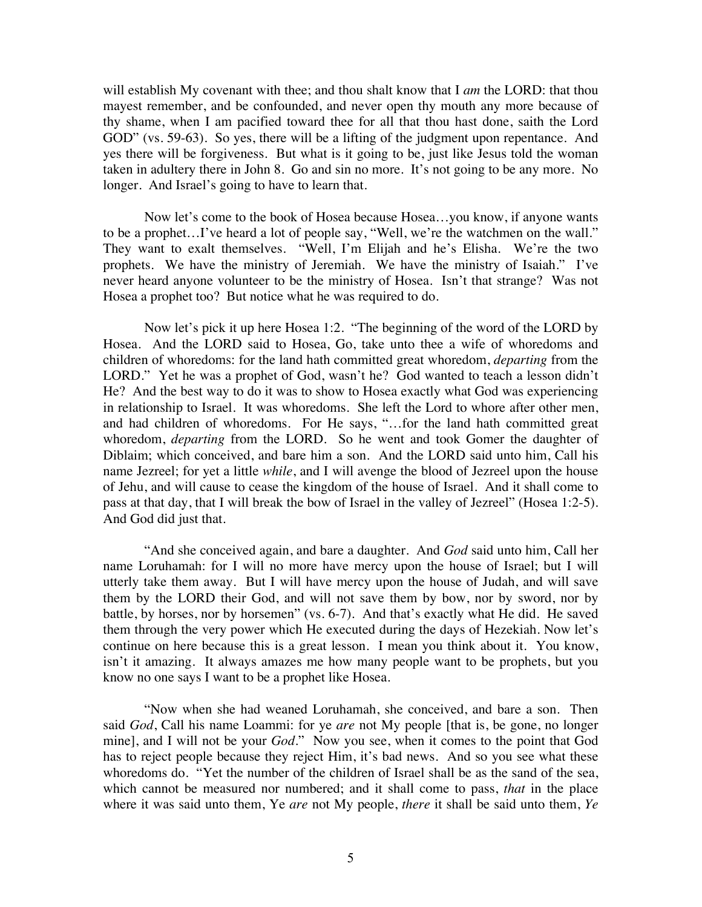will establish My covenant with thee; and thou shalt know that I *am* the LORD: that thou mayest remember, and be confounded, and never open thy mouth any more because of thy shame, when I am pacified toward thee for all that thou hast done, saith the Lord GOD" (vs. 59-63). So yes, there will be a lifting of the judgment upon repentance. And yes there will be forgiveness. But what is it going to be, just like Jesus told the woman taken in adultery there in John 8. Go and sin no more. It's not going to be any more. No longer. And Israel's going to have to learn that.

Now let's come to the book of Hosea because Hosea…you know, if anyone wants to be a prophet…I've heard a lot of people say, "Well, we're the watchmen on the wall." They want to exalt themselves. "Well, I'm Elijah and he's Elisha. We're the two prophets. We have the ministry of Jeremiah. We have the ministry of Isaiah." I've never heard anyone volunteer to be the ministry of Hosea. Isn't that strange? Was not Hosea a prophet too? But notice what he was required to do.

Now let's pick it up here Hosea 1:2. "The beginning of the word of the LORD by Hosea. And the LORD said to Hosea, Go, take unto thee a wife of whoredoms and children of whoredoms: for the land hath committed great whoredom, *departing* from the LORD." Yet he was a prophet of God, wasn't he? God wanted to teach a lesson didn't He? And the best way to do it was to show to Hosea exactly what God was experiencing in relationship to Israel. It was whoredoms. She left the Lord to whore after other men, and had children of whoredoms. For He says, "…for the land hath committed great whoredom, *departing* from the LORD. So he went and took Gomer the daughter of Diblaim; which conceived, and bare him a son. And the LORD said unto him, Call his name Jezreel; for yet a little *while*, and I will avenge the blood of Jezreel upon the house of Jehu, and will cause to cease the kingdom of the house of Israel. And it shall come to pass at that day, that I will break the bow of Israel in the valley of Jezreel" (Hosea 1:2-5). And God did just that.

"And she conceived again, and bare a daughter. And *God* said unto him, Call her name Loruhamah: for I will no more have mercy upon the house of Israel; but I will utterly take them away. But I will have mercy upon the house of Judah, and will save them by the LORD their God, and will not save them by bow, nor by sword, nor by battle, by horses, nor by horsemen" (vs. 6-7). And that's exactly what He did. He saved them through the very power which He executed during the days of Hezekiah. Now let's continue on here because this is a great lesson. I mean you think about it. You know, isn't it amazing. It always amazes me how many people want to be prophets, but you know no one says I want to be a prophet like Hosea.

"Now when she had weaned Loruhamah, she conceived, and bare a son. Then said *God*, Call his name Loammi: for ye *are* not My people [that is, be gone, no longer mine], and I will not be your *God*." Now you see, when it comes to the point that God has to reject people because they reject Him, it's bad news. And so you see what these whoredoms do. "Yet the number of the children of Israel shall be as the sand of the sea, which cannot be measured nor numbered; and it shall come to pass, *that* in the place where it was said unto them, Ye *are* not My people, *there* it shall be said unto them, *Ye*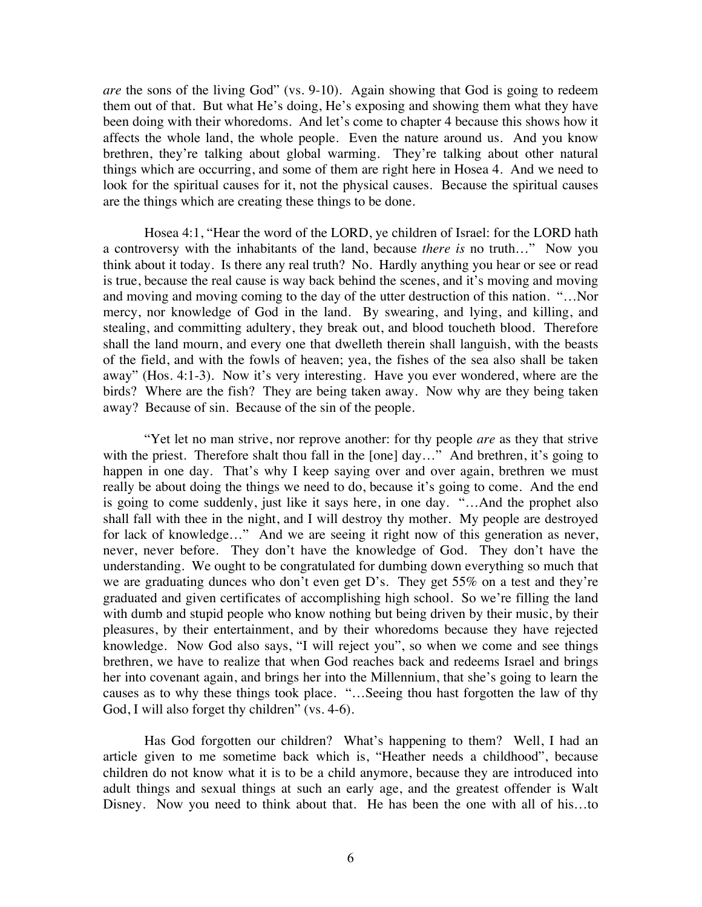*are* the sons of the living God" (vs. 9-10). Again showing that God is going to redeem them out of that. But what He's doing, He's exposing and showing them what they have been doing with their whoredoms. And let's come to chapter 4 because this shows how it affects the whole land, the whole people. Even the nature around us. And you know brethren, they're talking about global warming. They're talking about other natural things which are occurring, and some of them are right here in Hosea 4. And we need to look for the spiritual causes for it, not the physical causes. Because the spiritual causes are the things which are creating these things to be done.

Hosea 4:1, "Hear the word of the LORD, ye children of Israel: for the LORD hath a controversy with the inhabitants of the land, because *there is* no truth…" Now you think about it today. Is there any real truth? No. Hardly anything you hear or see or read is true, because the real cause is way back behind the scenes, and it's moving and moving and moving and moving coming to the day of the utter destruction of this nation. "…Nor mercy, nor knowledge of God in the land. By swearing, and lying, and killing, and stealing, and committing adultery, they break out, and blood toucheth blood. Therefore shall the land mourn, and every one that dwelleth therein shall languish, with the beasts of the field, and with the fowls of heaven; yea, the fishes of the sea also shall be taken away" (Hos. 4:1-3). Now it's very interesting. Have you ever wondered, where are the birds? Where are the fish? They are being taken away. Now why are they being taken away? Because of sin. Because of the sin of the people.

"Yet let no man strive, nor reprove another: for thy people *are* as they that strive with the priest. Therefore shalt thou fall in the [one] day..." And brethren, it's going to happen in one day. That's why I keep saying over and over again, brethren we must really be about doing the things we need to do, because it's going to come. And the end is going to come suddenly, just like it says here, in one day. "…And the prophet also shall fall with thee in the night, and I will destroy thy mother. My people are destroyed for lack of knowledge…" And we are seeing it right now of this generation as never, never, never before. They don't have the knowledge of God. They don't have the understanding. We ought to be congratulated for dumbing down everything so much that we are graduating dunces who don't even get D's. They get 55% on a test and they're graduated and given certificates of accomplishing high school. So we're filling the land with dumb and stupid people who know nothing but being driven by their music, by their pleasures, by their entertainment, and by their whoredoms because they have rejected knowledge. Now God also says, "I will reject you", so when we come and see things brethren, we have to realize that when God reaches back and redeems Israel and brings her into covenant again, and brings her into the Millennium, that she's going to learn the causes as to why these things took place. "…Seeing thou hast forgotten the law of thy God, I will also forget thy children" (vs. 4-6).

Has God forgotten our children? What's happening to them? Well, I had an article given to me sometime back which is, "Heather needs a childhood", because children do not know what it is to be a child anymore, because they are introduced into adult things and sexual things at such an early age, and the greatest offender is Walt Disney. Now you need to think about that. He has been the one with all of his…to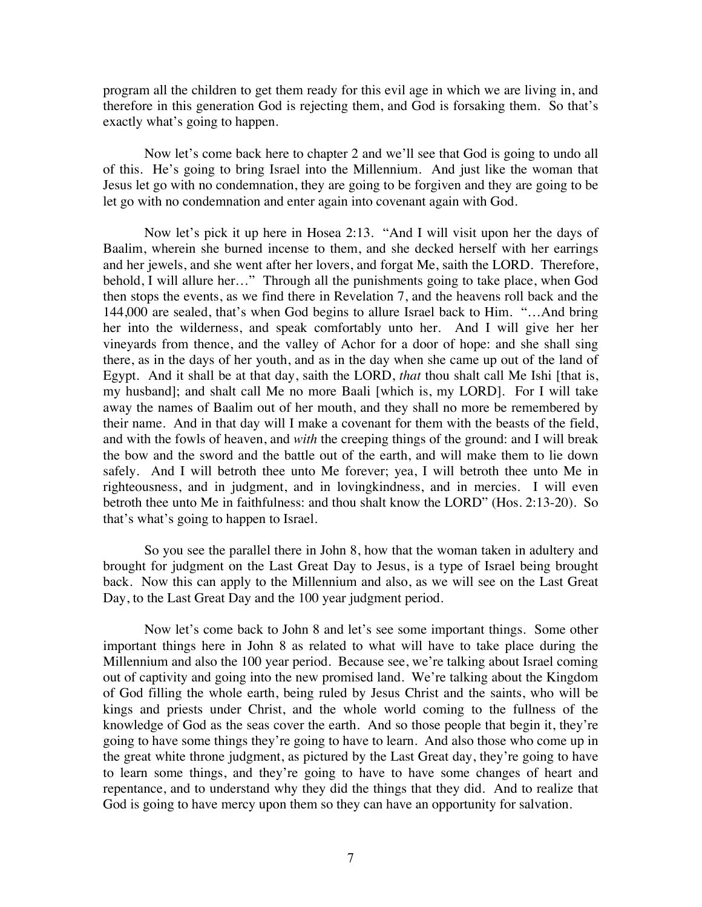program all the children to get them ready for this evil age in which we are living in, and therefore in this generation God is rejecting them, and God is forsaking them. So that's exactly what's going to happen.

Now let's come back here to chapter 2 and we'll see that God is going to undo all of this. He's going to bring Israel into the Millennium. And just like the woman that Jesus let go with no condemnation, they are going to be forgiven and they are going to be let go with no condemnation and enter again into covenant again with God.

Now let's pick it up here in Hosea 2:13. "And I will visit upon her the days of Baalim, wherein she burned incense to them, and she decked herself with her earrings and her jewels, and she went after her lovers, and forgat Me, saith the LORD. Therefore, behold, I will allure her…" Through all the punishments going to take place, when God then stops the events, as we find there in Revelation 7, and the heavens roll back and the 144,000 are sealed, that's when God begins to allure Israel back to Him. "…And bring her into the wilderness, and speak comfortably unto her. And I will give her her vineyards from thence, and the valley of Achor for a door of hope: and she shall sing there, as in the days of her youth, and as in the day when she came up out of the land of Egypt. And it shall be at that day, saith the LORD, *that* thou shalt call Me Ishi [that is, my husband]; and shalt call Me no more Baali [which is, my LORD]. For I will take away the names of Baalim out of her mouth, and they shall no more be remembered by their name. And in that day will I make a covenant for them with the beasts of the field, and with the fowls of heaven, and *with* the creeping things of the ground: and I will break the bow and the sword and the battle out of the earth, and will make them to lie down safely. And I will betroth thee unto Me forever; yea, I will betroth thee unto Me in righteousness, and in judgment, and in lovingkindness, and in mercies. I will even betroth thee unto Me in faithfulness: and thou shalt know the LORD" (Hos. 2:13-20). So that's what's going to happen to Israel.

So you see the parallel there in John 8, how that the woman taken in adultery and brought for judgment on the Last Great Day to Jesus, is a type of Israel being brought back. Now this can apply to the Millennium and also, as we will see on the Last Great Day, to the Last Great Day and the 100 year judgment period.

Now let's come back to John 8 and let's see some important things. Some other important things here in John 8 as related to what will have to take place during the Millennium and also the 100 year period. Because see, we're talking about Israel coming out of captivity and going into the new promised land. We're talking about the Kingdom of God filling the whole earth, being ruled by Jesus Christ and the saints, who will be kings and priests under Christ, and the whole world coming to the fullness of the knowledge of God as the seas cover the earth. And so those people that begin it, they're going to have some things they're going to have to learn. And also those who come up in the great white throne judgment, as pictured by the Last Great day, they're going to have to learn some things, and they're going to have to have some changes of heart and repentance, and to understand why they did the things that they did. And to realize that God is going to have mercy upon them so they can have an opportunity for salvation.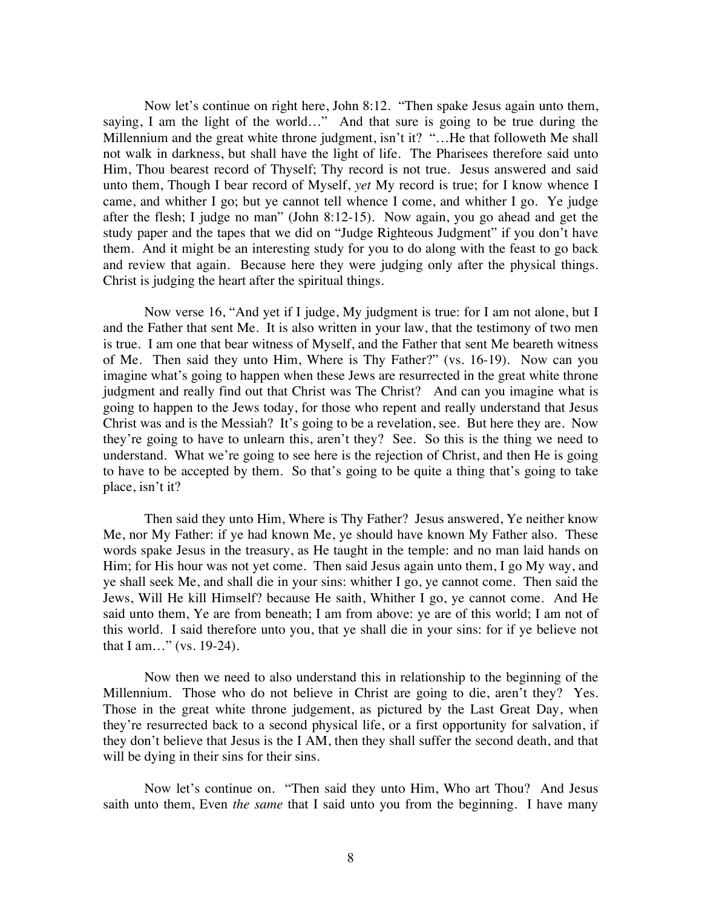Now let's continue on right here, John 8:12. "Then spake Jesus again unto them, saying, I am the light of the world…" And that sure is going to be true during the Millennium and the great white throne judgment, isn't it? "…He that followeth Me shall not walk in darkness, but shall have the light of life. The Pharisees therefore said unto Him, Thou bearest record of Thyself; Thy record is not true. Jesus answered and said unto them, Though I bear record of Myself, *yet* My record is true; for I know whence I came, and whither I go; but ye cannot tell whence I come, and whither I go. Ye judge after the flesh; I judge no man" (John 8:12-15). Now again, you go ahead and get the study paper and the tapes that we did on "Judge Righteous Judgment" if you don't have them. And it might be an interesting study for you to do along with the feast to go back and review that again. Because here they were judging only after the physical things. Christ is judging the heart after the spiritual things.

Now verse 16, "And yet if I judge, My judgment is true: for I am not alone, but I and the Father that sent Me. It is also written in your law, that the testimony of two men is true. I am one that bear witness of Myself, and the Father that sent Me beareth witness of Me. Then said they unto Him, Where is Thy Father?" (vs. 16-19). Now can you imagine what's going to happen when these Jews are resurrected in the great white throne judgment and really find out that Christ was The Christ? And can you imagine what is going to happen to the Jews today, for those who repent and really understand that Jesus Christ was and is the Messiah? It's going to be a revelation, see. But here they are. Now they're going to have to unlearn this, aren't they? See. So this is the thing we need to understand. What we're going to see here is the rejection of Christ, and then He is going to have to be accepted by them. So that's going to be quite a thing that's going to take place, isn't it?

Then said they unto Him, Where is Thy Father? Jesus answered, Ye neither know Me, nor My Father: if ye had known Me, ye should have known My Father also. These words spake Jesus in the treasury, as He taught in the temple: and no man laid hands on Him; for His hour was not yet come. Then said Jesus again unto them, I go My way, and ye shall seek Me, and shall die in your sins: whither I go, ye cannot come. Then said the Jews, Will He kill Himself? because He saith, Whither I go, ye cannot come. And He said unto them, Ye are from beneath; I am from above: ye are of this world; I am not of this world. I said therefore unto you, that ye shall die in your sins: for if ye believe not that I am…" (vs. 19-24).

Now then we need to also understand this in relationship to the beginning of the Millennium. Those who do not believe in Christ are going to die, aren't they? Yes. Those in the great white throne judgement, as pictured by the Last Great Day, when they're resurrected back to a second physical life, or a first opportunity for salvation, if they don't believe that Jesus is the I AM, then they shall suffer the second death, and that will be dying in their sins for their sins.

Now let's continue on. "Then said they unto Him, Who art Thou? And Jesus saith unto them, Even *the same* that I said unto you from the beginning. I have many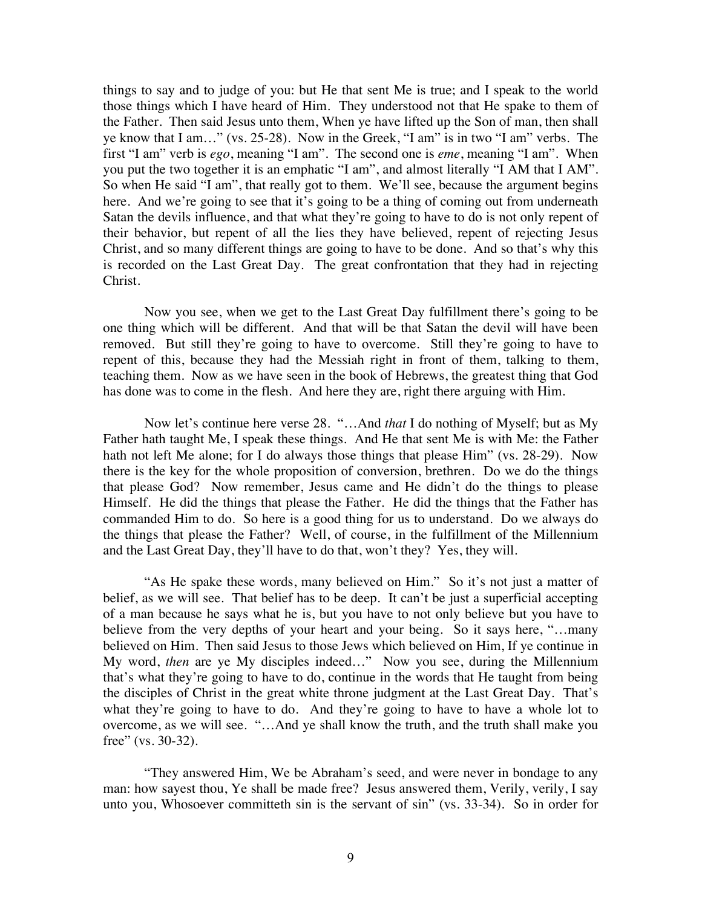things to say and to judge of you: but He that sent Me is true; and I speak to the world those things which I have heard of Him. They understood not that He spake to them of the Father. Then said Jesus unto them, When ye have lifted up the Son of man, then shall ye know that I am…" (vs. 25-28). Now in the Greek, "I am" is in two "I am" verbs. The first "I am" verb is *ego*, meaning "I am". The second one is *eme*, meaning "I am". When you put the two together it is an emphatic "I am", and almost literally "I AM that I AM". So when He said "I am", that really got to them. We'll see, because the argument begins here. And we're going to see that it's going to be a thing of coming out from underneath Satan the devils influence, and that what they're going to have to do is not only repent of their behavior, but repent of all the lies they have believed, repent of rejecting Jesus Christ, and so many different things are going to have to be done. And so that's why this is recorded on the Last Great Day. The great confrontation that they had in rejecting Christ.

Now you see, when we get to the Last Great Day fulfillment there's going to be one thing which will be different. And that will be that Satan the devil will have been removed. But still they're going to have to overcome. Still they're going to have to repent of this, because they had the Messiah right in front of them, talking to them, teaching them. Now as we have seen in the book of Hebrews, the greatest thing that God has done was to come in the flesh. And here they are, right there arguing with Him.

Now let's continue here verse 28. "…And *that* I do nothing of Myself; but as My Father hath taught Me, I speak these things. And He that sent Me is with Me: the Father hath not left Me alone; for I do always those things that please Him" (vs. 28-29). Now there is the key for the whole proposition of conversion, brethren. Do we do the things that please God? Now remember, Jesus came and He didn't do the things to please Himself. He did the things that please the Father. He did the things that the Father has commanded Him to do. So here is a good thing for us to understand. Do we always do the things that please the Father? Well, of course, in the fulfillment of the Millennium and the Last Great Day, they'll have to do that, won't they? Yes, they will.

"As He spake these words, many believed on Him." So it's not just a matter of belief, as we will see. That belief has to be deep. It can't be just a superficial accepting of a man because he says what he is, but you have to not only believe but you have to believe from the very depths of your heart and your being. So it says here, "…many believed on Him. Then said Jesus to those Jews which believed on Him, If ye continue in My word, *then* are ye My disciples indeed…" Now you see, during the Millennium that's what they're going to have to do, continue in the words that He taught from being the disciples of Christ in the great white throne judgment at the Last Great Day. That's what they're going to have to do. And they're going to have to have a whole lot to overcome, as we will see. "…And ye shall know the truth, and the truth shall make you free" (vs. 30-32).

"They answered Him, We be Abraham's seed, and were never in bondage to any man: how sayest thou, Ye shall be made free? Jesus answered them, Verily, verily, I say unto you, Whosoever committeth sin is the servant of sin" (vs. 33-34). So in order for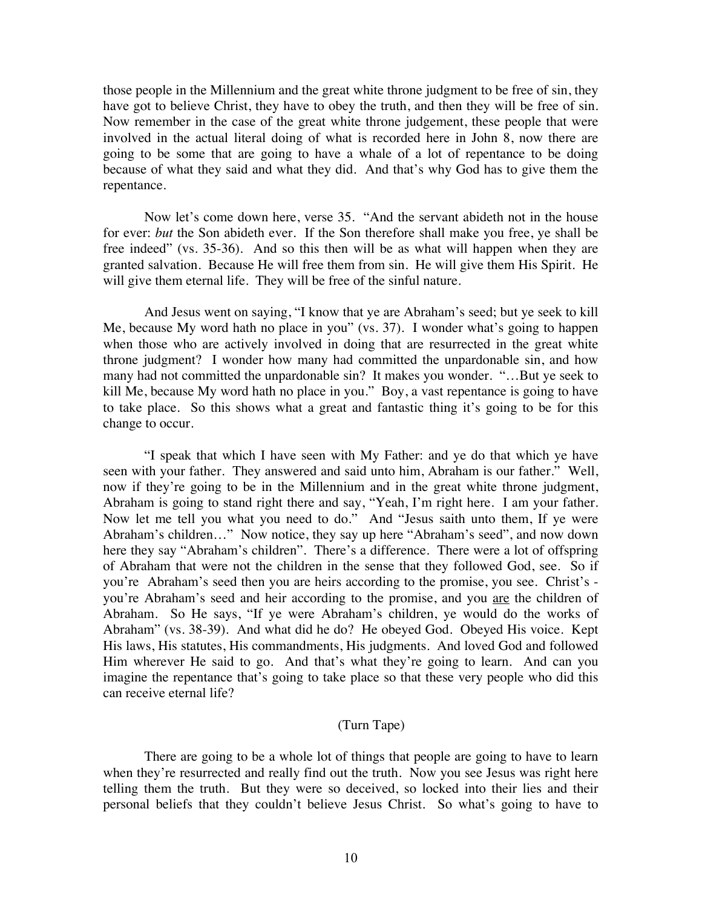those people in the Millennium and the great white throne judgment to be free of sin, they have got to believe Christ, they have to obey the truth, and then they will be free of sin. Now remember in the case of the great white throne judgement, these people that were involved in the actual literal doing of what is recorded here in John 8, now there are going to be some that are going to have a whale of a lot of repentance to be doing because of what they said and what they did. And that's why God has to give them the repentance.

Now let's come down here, verse 35. "And the servant abideth not in the house for ever: *but* the Son abideth ever. If the Son therefore shall make you free, ye shall be free indeed" (vs. 35-36). And so this then will be as what will happen when they are granted salvation. Because He will free them from sin. He will give them His Spirit. He will give them eternal life. They will be free of the sinful nature.

And Jesus went on saying, "I know that ye are Abraham's seed; but ye seek to kill Me, because My word hath no place in you" (vs. 37). I wonder what's going to happen when those who are actively involved in doing that are resurrected in the great white throne judgment? I wonder how many had committed the unpardonable sin, and how many had not committed the unpardonable sin? It makes you wonder. "…But ye seek to kill Me, because My word hath no place in you." Boy, a vast repentance is going to have to take place. So this shows what a great and fantastic thing it's going to be for this change to occur.

"I speak that which I have seen with My Father: and ye do that which ye have seen with your father. They answered and said unto him, Abraham is our father." Well, now if they're going to be in the Millennium and in the great white throne judgment, Abraham is going to stand right there and say, "Yeah, I'm right here. I am your father. Now let me tell you what you need to do." And "Jesus saith unto them, If ye were Abraham's children…" Now notice, they say up here "Abraham's seed", and now down here they say "Abraham's children". There's a difference. There were a lot of offspring of Abraham that were not the children in the sense that they followed God, see. So if you're Abraham's seed then you are heirs according to the promise, you see. Christ's you're Abraham's seed and heir according to the promise, and you are the children of Abraham. So He says, "If ye were Abraham's children, ye would do the works of Abraham" (vs. 38-39). And what did he do? He obeyed God. Obeyed His voice. Kept His laws, His statutes, His commandments, His judgments. And loved God and followed Him wherever He said to go. And that's what they're going to learn. And can you imagine the repentance that's going to take place so that these very people who did this can receive eternal life?

## (Turn Tape)

There are going to be a whole lot of things that people are going to have to learn when they're resurrected and really find out the truth. Now you see Jesus was right here telling them the truth. But they were so deceived, so locked into their lies and their personal beliefs that they couldn't believe Jesus Christ. So what's going to have to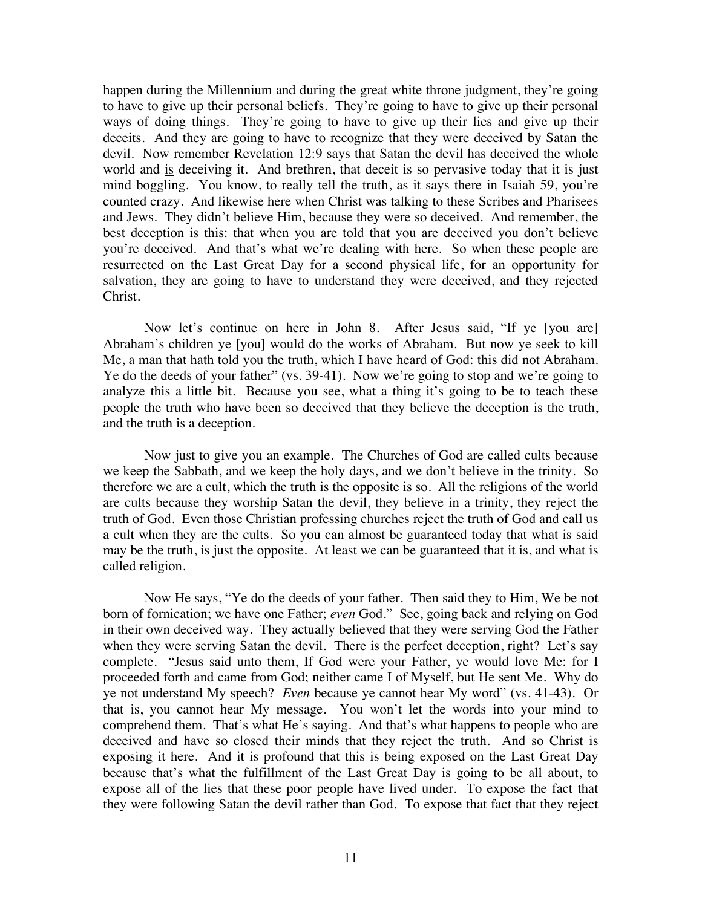happen during the Millennium and during the great white throne judgment, they're going to have to give up their personal beliefs. They're going to have to give up their personal ways of doing things. They're going to have to give up their lies and give up their deceits. And they are going to have to recognize that they were deceived by Satan the devil. Now remember Revelation 12:9 says that Satan the devil has deceived the whole world and is deceiving it. And brethren, that deceit is so pervasive today that it is just mind boggling. You know, to really tell the truth, as it says there in Isaiah 59, you're counted crazy. And likewise here when Christ was talking to these Scribes and Pharisees and Jews. They didn't believe Him, because they were so deceived. And remember, the best deception is this: that when you are told that you are deceived you don't believe you're deceived. And that's what we're dealing with here. So when these people are resurrected on the Last Great Day for a second physical life, for an opportunity for salvation, they are going to have to understand they were deceived, and they rejected Christ.

Now let's continue on here in John 8. After Jesus said, "If ye [you are] Abraham's children ye [you] would do the works of Abraham. But now ye seek to kill Me, a man that hath told you the truth, which I have heard of God: this did not Abraham. Ye do the deeds of your father" (vs. 39-41). Now we're going to stop and we're going to analyze this a little bit. Because you see, what a thing it's going to be to teach these people the truth who have been so deceived that they believe the deception is the truth, and the truth is a deception.

Now just to give you an example. The Churches of God are called cults because we keep the Sabbath, and we keep the holy days, and we don't believe in the trinity. So therefore we are a cult, which the truth is the opposite is so. All the religions of the world are cults because they worship Satan the devil, they believe in a trinity, they reject the truth of God. Even those Christian professing churches reject the truth of God and call us a cult when they are the cults. So you can almost be guaranteed today that what is said may be the truth, is just the opposite. At least we can be guaranteed that it is, and what is called religion.

Now He says, "Ye do the deeds of your father. Then said they to Him, We be not born of fornication; we have one Father; *even* God." See, going back and relying on God in their own deceived way. They actually believed that they were serving God the Father when they were serving Satan the devil. There is the perfect deception, right? Let's say complete. "Jesus said unto them, If God were your Father, ye would love Me: for I proceeded forth and came from God; neither came I of Myself, but He sent Me. Why do ye not understand My speech? *Even* because ye cannot hear My word" (vs. 41-43). Or that is, you cannot hear My message. You won't let the words into your mind to comprehend them. That's what He's saying. And that's what happens to people who are deceived and have so closed their minds that they reject the truth. And so Christ is exposing it here. And it is profound that this is being exposed on the Last Great Day because that's what the fulfillment of the Last Great Day is going to be all about, to expose all of the lies that these poor people have lived under. To expose the fact that they were following Satan the devil rather than God. To expose that fact that they reject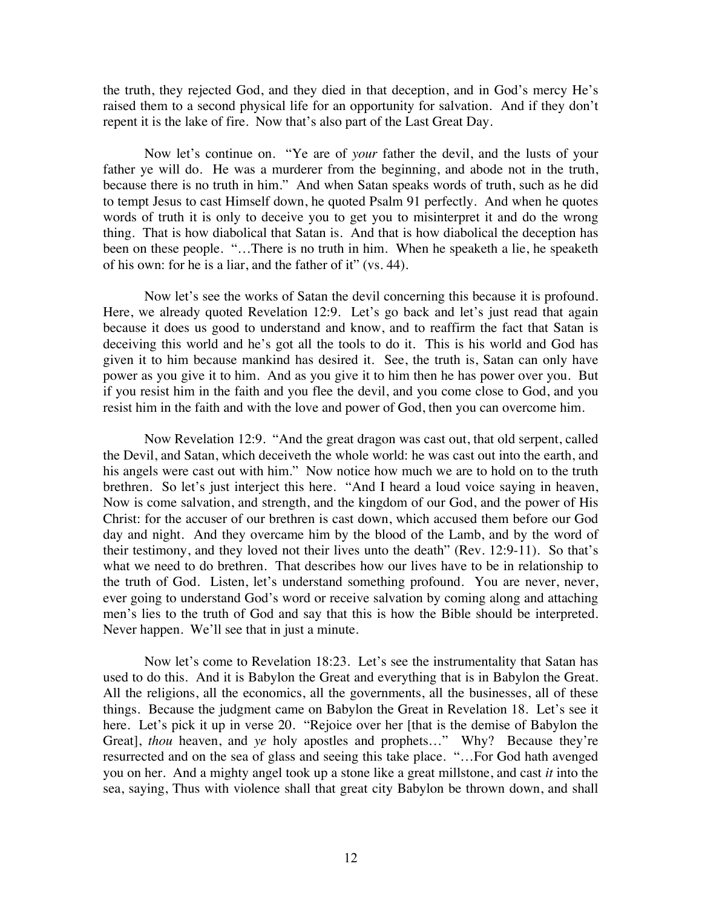the truth, they rejected God, and they died in that deception, and in God's mercy He's raised them to a second physical life for an opportunity for salvation. And if they don't repent it is the lake of fire. Now that's also part of the Last Great Day.

Now let's continue on. "Ye are of *your* father the devil, and the lusts of your father ye will do. He was a murderer from the beginning, and abode not in the truth, because there is no truth in him." And when Satan speaks words of truth, such as he did to tempt Jesus to cast Himself down, he quoted Psalm 91 perfectly. And when he quotes words of truth it is only to deceive you to get you to misinterpret it and do the wrong thing. That is how diabolical that Satan is. And that is how diabolical the deception has been on these people. "…There is no truth in him. When he speaketh a lie, he speaketh of his own: for he is a liar, and the father of it" (vs. 44).

Now let's see the works of Satan the devil concerning this because it is profound. Here, we already quoted Revelation 12:9. Let's go back and let's just read that again because it does us good to understand and know, and to reaffirm the fact that Satan is deceiving this world and he's got all the tools to do it. This is his world and God has given it to him because mankind has desired it. See, the truth is, Satan can only have power as you give it to him. And as you give it to him then he has power over you. But if you resist him in the faith and you flee the devil, and you come close to God, and you resist him in the faith and with the love and power of God, then you can overcome him.

Now Revelation 12:9. "And the great dragon was cast out, that old serpent, called the Devil, and Satan, which deceiveth the whole world: he was cast out into the earth, and his angels were cast out with him." Now notice how much we are to hold on to the truth brethren. So let's just interject this here. "And I heard a loud voice saying in heaven, Now is come salvation, and strength, and the kingdom of our God, and the power of His Christ: for the accuser of our brethren is cast down, which accused them before our God day and night. And they overcame him by the blood of the Lamb, and by the word of their testimony, and they loved not their lives unto the death" (Rev. 12:9-11). So that's what we need to do brethren. That describes how our lives have to be in relationship to the truth of God. Listen, let's understand something profound. You are never, never, ever going to understand God's word or receive salvation by coming along and attaching men's lies to the truth of God and say that this is how the Bible should be interpreted. Never happen. We'll see that in just a minute.

Now let's come to Revelation 18:23. Let's see the instrumentality that Satan has used to do this. And it is Babylon the Great and everything that is in Babylon the Great. All the religions, all the economics, all the governments, all the businesses, all of these things. Because the judgment came on Babylon the Great in Revelation 18. Let's see it here. Let's pick it up in verse 20. "Rejoice over her [that is the demise of Babylon the Great], *thou* heaven, and *ye* holy apostles and prophets…" Why? Because they're resurrected and on the sea of glass and seeing this take place. "…For God hath avenged you on her. And a mighty angel took up a stone like a great millstone, and cast *it* into the sea, saying, Thus with violence shall that great city Babylon be thrown down, and shall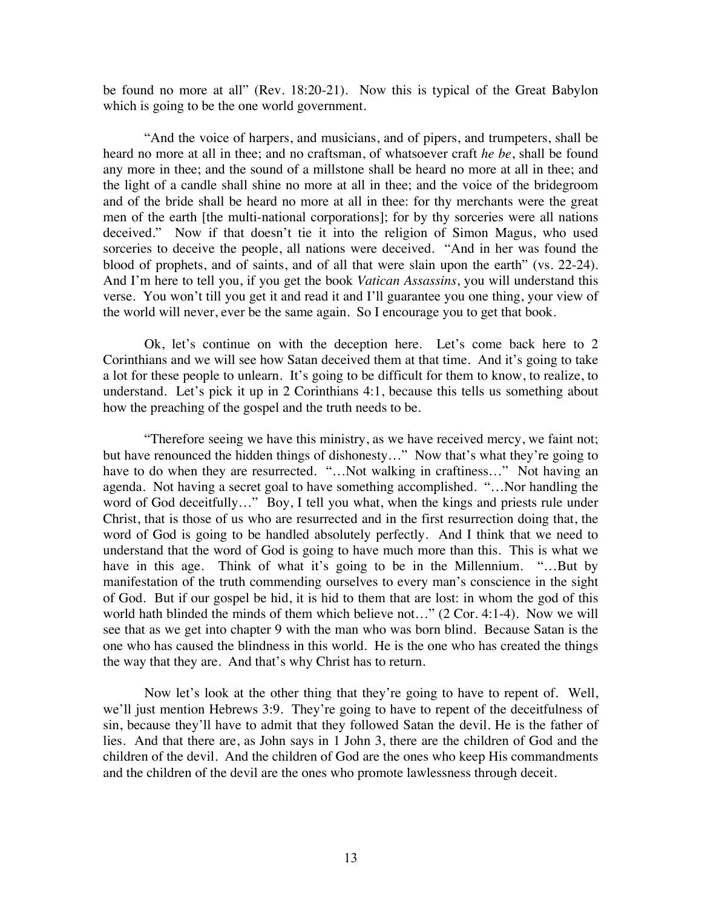be found no more at all" (Rev. 18:20-21). Now this is typical of the Great Babylon which is going to be the one world government.

"And the voice of harpers, and musicians, and of pipers, and trumpeters, shall be heard no more at all in thee; and no craftsman, of whatsoever craft *he be*, shall be found any more in thee; and the sound of a millstone shall be heard no more at all in thee; and the light of a candle shall shine no more at all in thee; and the voice of the bridegroom and of the bride shall be heard no more at all in thee: for thy merchants were the great men of the earth [the multi-national corporations]; for by thy sorceries were all nations deceived." Now if that doesn't tie it into the religion of Simon Magus, who used sorceries to deceive the people, all nations were deceived. "And in her was found the blood of prophets, and of saints, and of all that were slain upon the earth" (vs. 22-24). And I'm here to tell you, if you get the book *Vatican Assassins*, you will understand this verse. You won't till you get it and read it and I'll guarantee you one thing, your view of the world will never, ever be the same again. So I encourage you to get that book.

Ok, let's continue on with the deception here. Let's come back here to 2 Corinthians and we will see how Satan deceived them at that time. And it's going to take a lot for these people to unlearn. It's going to be difficult for them to know, to realize, to understand. Let's pick it up in 2 Corinthians 4:1, because this tells us something about how the preaching of the gospel and the truth needs to be.

"Therefore seeing we have this ministry, as we have received mercy, we faint not; but have renounced the hidden things of dishonesty…" Now that's what they're going to have to do when they are resurrected. "...Not walking in craftiness..." Not having an agenda. Not having a secret goal to have something accomplished. "…Nor handling the word of God deceitfully..." Boy, I tell you what, when the kings and priests rule under Christ, that is those of us who are resurrected and in the first resurrection doing that, the word of God is going to be handled absolutely perfectly. And I think that we need to understand that the word of God is going to have much more than this. This is what we have in this age. Think of what it's going to be in the Millennium. "...But by manifestation of the truth commending ourselves to every man's conscience in the sight of God. But if our gospel be hid, it is hid to them that are lost: in whom the god of this world hath blinded the minds of them which believe not…" (2 Cor. 4:1-4). Now we will see that as we get into chapter 9 with the man who was born blind. Because Satan is the one who has caused the blindness in this world. He is the one who has created the things the way that they are. And that's why Christ has to return.

Now let's look at the other thing that they're going to have to repent of. Well, we'll just mention Hebrews 3:9. They're going to have to repent of the deceitfulness of sin, because they'll have to admit that they followed Satan the devil. He is the father of lies. And that there are, as John says in 1 John 3, there are the children of God and the children of the devil. And the children of God are the ones who keep His commandments and the children of the devil are the ones who promote lawlessness through deceit.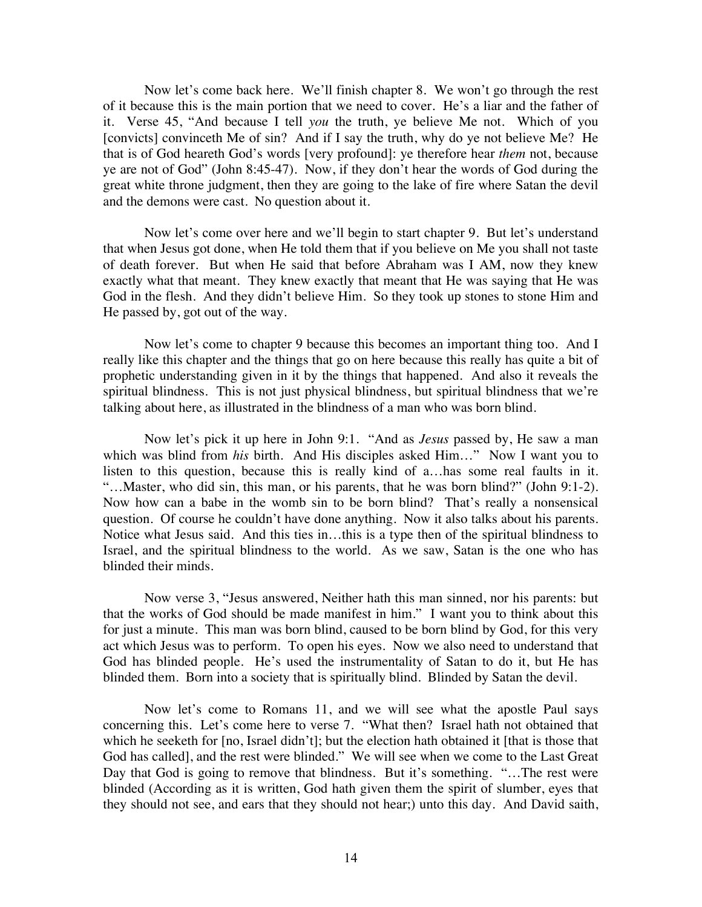Now let's come back here. We'll finish chapter 8. We won't go through the rest of it because this is the main portion that we need to cover. He's a liar and the father of it. Verse 45, "And because I tell *you* the truth, ye believe Me not. Which of you [convicts] convinceth Me of sin? And if I say the truth, why do ye not believe Me? He that is of God heareth God's words [very profound]: ye therefore hear *them* not, because ye are not of God" (John 8:45-47). Now, if they don't hear the words of God during the great white throne judgment, then they are going to the lake of fire where Satan the devil and the demons were cast. No question about it.

Now let's come over here and we'll begin to start chapter 9. But let's understand that when Jesus got done, when He told them that if you believe on Me you shall not taste of death forever. But when He said that before Abraham was I AM, now they knew exactly what that meant. They knew exactly that meant that He was saying that He was God in the flesh. And they didn't believe Him. So they took up stones to stone Him and He passed by, got out of the way.

Now let's come to chapter 9 because this becomes an important thing too. And I really like this chapter and the things that go on here because this really has quite a bit of prophetic understanding given in it by the things that happened. And also it reveals the spiritual blindness. This is not just physical blindness, but spiritual blindness that we're talking about here, as illustrated in the blindness of a man who was born blind.

Now let's pick it up here in John 9:1. "And as *Jesus* passed by, He saw a man which was blind from *his* birth. And His disciples asked Him…" Now I want you to listen to this question, because this is really kind of a…has some real faults in it. "…Master, who did sin, this man, or his parents, that he was born blind?" (John 9:1-2). Now how can a babe in the womb sin to be born blind? That's really a nonsensical question. Of course he couldn't have done anything. Now it also talks about his parents. Notice what Jesus said. And this ties in…this is a type then of the spiritual blindness to Israel, and the spiritual blindness to the world. As we saw, Satan is the one who has blinded their minds.

Now verse 3, "Jesus answered, Neither hath this man sinned, nor his parents: but that the works of God should be made manifest in him." I want you to think about this for just a minute. This man was born blind, caused to be born blind by God, for this very act which Jesus was to perform. To open his eyes. Now we also need to understand that God has blinded people. He's used the instrumentality of Satan to do it, but He has blinded them. Born into a society that is spiritually blind. Blinded by Satan the devil.

Now let's come to Romans 11, and we will see what the apostle Paul says concerning this. Let's come here to verse 7. "What then? Israel hath not obtained that which he seeketh for [no, Israel didn't]; but the election hath obtained it [that is those that God has called], and the rest were blinded." We will see when we come to the Last Great Day that God is going to remove that blindness. But it's something. "...The rest were blinded (According as it is written, God hath given them the spirit of slumber, eyes that they should not see, and ears that they should not hear;) unto this day. And David saith,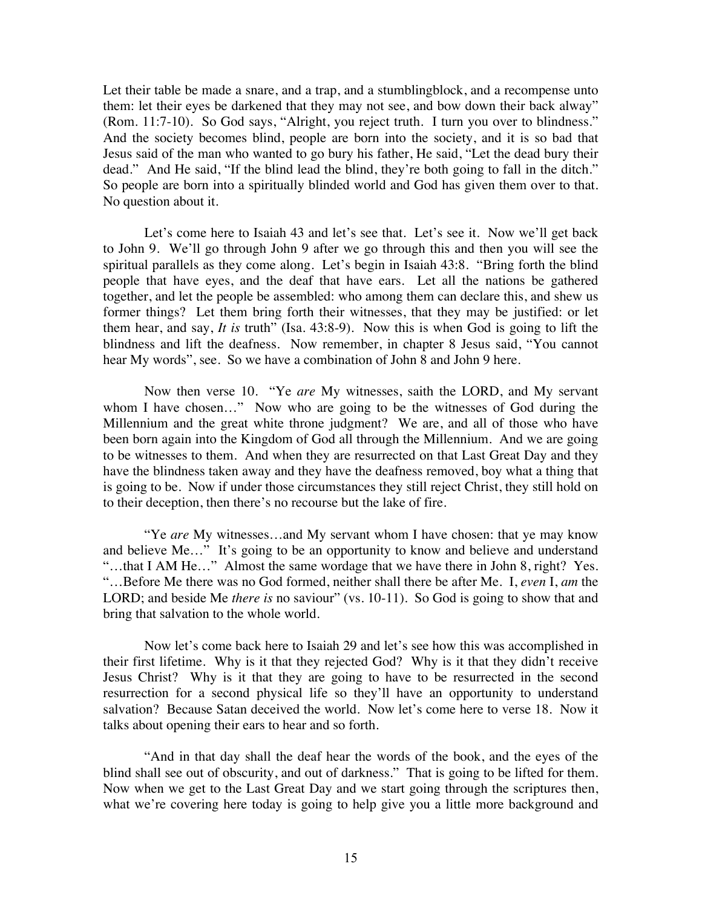Let their table be made a snare, and a trap, and a stumblingblock, and a recompense unto them: let their eyes be darkened that they may not see, and bow down their back alway" (Rom. 11:7-10). So God says, "Alright, you reject truth. I turn you over to blindness." And the society becomes blind, people are born into the society, and it is so bad that Jesus said of the man who wanted to go bury his father, He said, "Let the dead bury their dead." And He said, "If the blind lead the blind, they're both going to fall in the ditch." So people are born into a spiritually blinded world and God has given them over to that. No question about it.

Let's come here to Isaiah 43 and let's see that. Let's see it. Now we'll get back to John 9. We'll go through John 9 after we go through this and then you will see the spiritual parallels as they come along. Let's begin in Isaiah 43:8. "Bring forth the blind people that have eyes, and the deaf that have ears. Let all the nations be gathered together, and let the people be assembled: who among them can declare this, and shew us former things? Let them bring forth their witnesses, that they may be justified: or let them hear, and say, *It is* truth" (Isa. 43:8-9). Now this is when God is going to lift the blindness and lift the deafness. Now remember, in chapter 8 Jesus said, "You cannot hear My words", see. So we have a combination of John 8 and John 9 here.

Now then verse 10. "Ye *are* My witnesses, saith the LORD, and My servant whom I have chosen..." Now who are going to be the witnesses of God during the Millennium and the great white throne judgment? We are, and all of those who have been born again into the Kingdom of God all through the Millennium. And we are going to be witnesses to them. And when they are resurrected on that Last Great Day and they have the blindness taken away and they have the deafness removed, boy what a thing that is going to be. Now if under those circumstances they still reject Christ, they still hold on to their deception, then there's no recourse but the lake of fire.

"Ye *are* My witnesses…and My servant whom I have chosen: that ye may know and believe Me…" It's going to be an opportunity to know and believe and understand "…that I AM He…" Almost the same wordage that we have there in John 8, right? Yes. "…Before Me there was no God formed, neither shall there be after Me. I, *even* I, *am* the LORD; and beside Me *there is* no saviour" (vs. 10-11). So God is going to show that and bring that salvation to the whole world.

Now let's come back here to Isaiah 29 and let's see how this was accomplished in their first lifetime. Why is it that they rejected God? Why is it that they didn't receive Jesus Christ? Why is it that they are going to have to be resurrected in the second resurrection for a second physical life so they'll have an opportunity to understand salvation? Because Satan deceived the world. Now let's come here to verse 18. Now it talks about opening their ears to hear and so forth.

"And in that day shall the deaf hear the words of the book, and the eyes of the blind shall see out of obscurity, and out of darkness." That is going to be lifted for them. Now when we get to the Last Great Day and we start going through the scriptures then, what we're covering here today is going to help give you a little more background and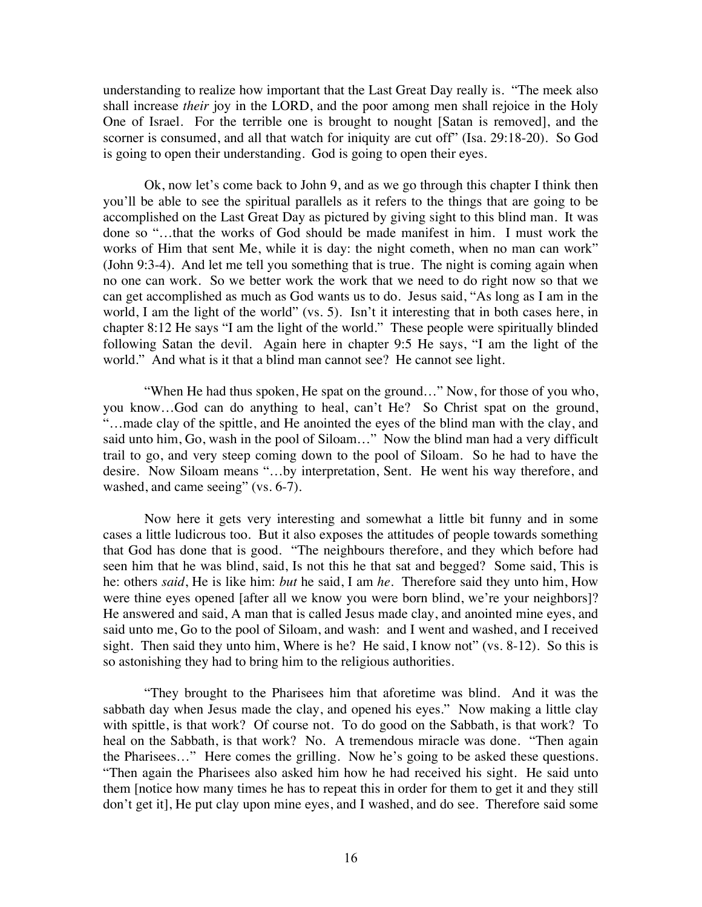understanding to realize how important that the Last Great Day really is. "The meek also shall increase *their* joy in the LORD, and the poor among men shall rejoice in the Holy One of Israel. For the terrible one is brought to nought [Satan is removed], and the scorner is consumed, and all that watch for iniquity are cut off" (Isa. 29:18-20). So God is going to open their understanding. God is going to open their eyes.

Ok, now let's come back to John 9, and as we go through this chapter I think then you'll be able to see the spiritual parallels as it refers to the things that are going to be accomplished on the Last Great Day as pictured by giving sight to this blind man. It was done so "…that the works of God should be made manifest in him. I must work the works of Him that sent Me, while it is day: the night cometh, when no man can work" (John 9:3-4). And let me tell you something that is true. The night is coming again when no one can work. So we better work the work that we need to do right now so that we can get accomplished as much as God wants us to do. Jesus said, "As long as I am in the world, I am the light of the world" (vs. 5). Isn't it interesting that in both cases here, in chapter 8:12 He says "I am the light of the world." These people were spiritually blinded following Satan the devil. Again here in chapter 9:5 He says, "I am the light of the world." And what is it that a blind man cannot see? He cannot see light.

"When He had thus spoken, He spat on the ground…" Now, for those of you who, you know…God can do anything to heal, can't He? So Christ spat on the ground, "…made clay of the spittle, and He anointed the eyes of the blind man with the clay, and said unto him, Go, wash in the pool of Siloam…" Now the blind man had a very difficult trail to go, and very steep coming down to the pool of Siloam. So he had to have the desire. Now Siloam means "…by interpretation, Sent. He went his way therefore, and washed, and came seeing" (vs. 6-7).

Now here it gets very interesting and somewhat a little bit funny and in some cases a little ludicrous too. But it also exposes the attitudes of people towards something that God has done that is good. "The neighbours therefore, and they which before had seen him that he was blind, said, Is not this he that sat and begged? Some said, This is he: others *said*, He is like him: *but* he said, I am *he*. Therefore said they unto him, How were thine eyes opened [after all we know you were born blind, we're your neighbors]? He answered and said, A man that is called Jesus made clay, and anointed mine eyes, and said unto me, Go to the pool of Siloam, and wash: and I went and washed, and I received sight. Then said they unto him, Where is he? He said, I know not" (vs. 8-12). So this is so astonishing they had to bring him to the religious authorities.

"They brought to the Pharisees him that aforetime was blind. And it was the sabbath day when Jesus made the clay, and opened his eyes." Now making a little clay with spittle, is that work? Of course not. To do good on the Sabbath, is that work? To heal on the Sabbath, is that work? No. A tremendous miracle was done. "Then again the Pharisees…" Here comes the grilling. Now he's going to be asked these questions. "Then again the Pharisees also asked him how he had received his sight. He said unto them [notice how many times he has to repeat this in order for them to get it and they still don't get it], He put clay upon mine eyes, and I washed, and do see. Therefore said some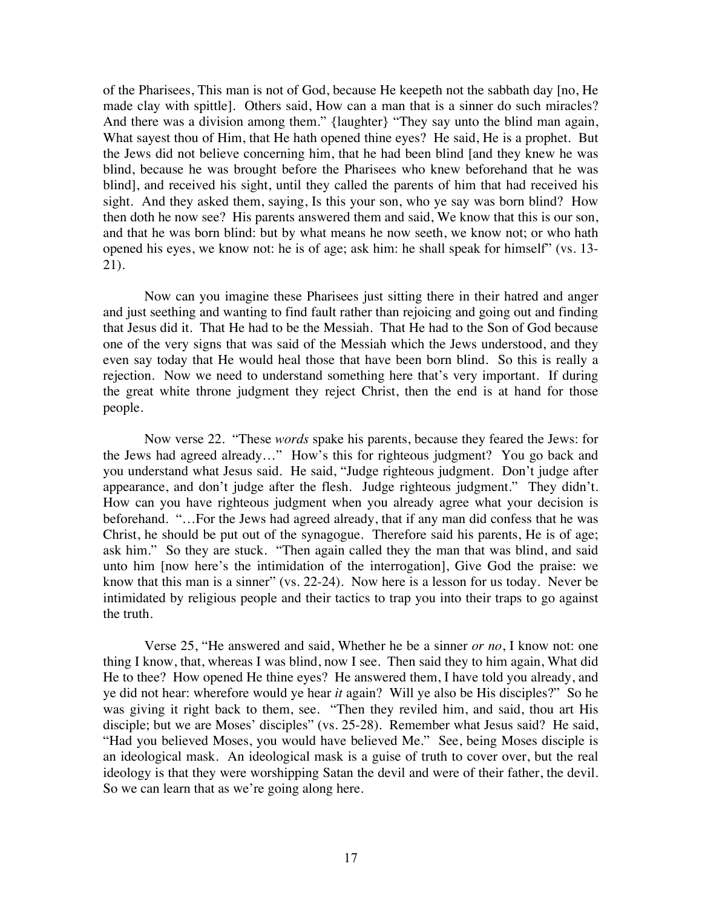of the Pharisees, This man is not of God, because He keepeth not the sabbath day [no, He made clay with spittle]. Others said, How can a man that is a sinner do such miracles? And there was a division among them." {laughter} "They say unto the blind man again, What sayest thou of Him, that He hath opened thine eyes? He said, He is a prophet. But the Jews did not believe concerning him, that he had been blind [and they knew he was blind, because he was brought before the Pharisees who knew beforehand that he was blind], and received his sight, until they called the parents of him that had received his sight. And they asked them, saying, Is this your son, who ye say was born blind? How then doth he now see? His parents answered them and said, We know that this is our son, and that he was born blind: but by what means he now seeth, we know not; or who hath opened his eyes, we know not: he is of age; ask him: he shall speak for himself" (vs. 13- 21).

Now can you imagine these Pharisees just sitting there in their hatred and anger and just seething and wanting to find fault rather than rejoicing and going out and finding that Jesus did it. That He had to be the Messiah. That He had to the Son of God because one of the very signs that was said of the Messiah which the Jews understood, and they even say today that He would heal those that have been born blind. So this is really a rejection. Now we need to understand something here that's very important. If during the great white throne judgment they reject Christ, then the end is at hand for those people.

Now verse 22. "These *words* spake his parents, because they feared the Jews: for the Jews had agreed already…" How's this for righteous judgment? You go back and you understand what Jesus said. He said, "Judge righteous judgment. Don't judge after appearance, and don't judge after the flesh. Judge righteous judgment." They didn't. How can you have righteous judgment when you already agree what your decision is beforehand. "…For the Jews had agreed already, that if any man did confess that he was Christ, he should be put out of the synagogue. Therefore said his parents, He is of age; ask him." So they are stuck. "Then again called they the man that was blind, and said unto him [now here's the intimidation of the interrogation], Give God the praise: we know that this man is a sinner" (vs. 22-24). Now here is a lesson for us today. Never be intimidated by religious people and their tactics to trap you into their traps to go against the truth.

Verse 25, "He answered and said, Whether he be a sinner *or no*, I know not: one thing I know, that, whereas I was blind, now I see. Then said they to him again, What did He to thee? How opened He thine eyes? He answered them, I have told you already, and ye did not hear: wherefore would ye hear *it* again? Will ye also be His disciples?" So he was giving it right back to them, see. "Then they reviled him, and said, thou art His disciple; but we are Moses' disciples" (vs. 25-28). Remember what Jesus said? He said, "Had you believed Moses, you would have believed Me." See, being Moses disciple is an ideological mask. An ideological mask is a guise of truth to cover over, but the real ideology is that they were worshipping Satan the devil and were of their father, the devil. So we can learn that as we're going along here.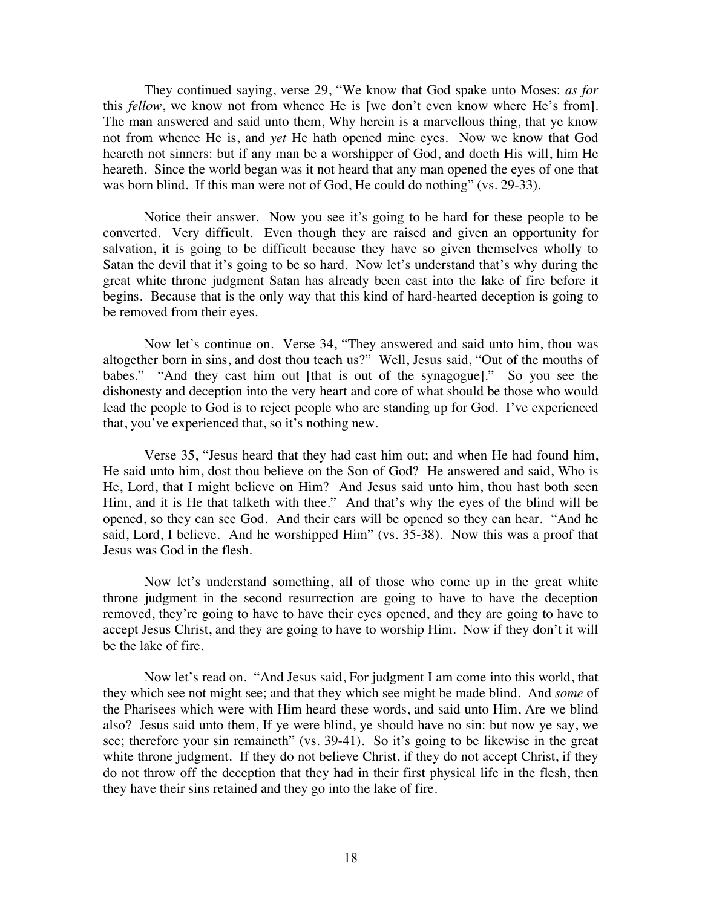They continued saying, verse 29, "We know that God spake unto Moses: *as for* this *fellow*, we know not from whence He is [we don't even know where He's from]. The man answered and said unto them, Why herein is a marvellous thing, that ye know not from whence He is, and *yet* He hath opened mine eyes. Now we know that God heareth not sinners: but if any man be a worshipper of God, and doeth His will, him He heareth. Since the world began was it not heard that any man opened the eyes of one that was born blind. If this man were not of God, He could do nothing" (vs. 29-33).

Notice their answer. Now you see it's going to be hard for these people to be converted. Very difficult. Even though they are raised and given an opportunity for salvation, it is going to be difficult because they have so given themselves wholly to Satan the devil that it's going to be so hard. Now let's understand that's why during the great white throne judgment Satan has already been cast into the lake of fire before it begins. Because that is the only way that this kind of hard-hearted deception is going to be removed from their eyes.

Now let's continue on. Verse 34, "They answered and said unto him, thou was altogether born in sins, and dost thou teach us?" Well, Jesus said, "Out of the mouths of babes." "And they cast him out [that is out of the synagogue]." So you see the dishonesty and deception into the very heart and core of what should be those who would lead the people to God is to reject people who are standing up for God. I've experienced that, you've experienced that, so it's nothing new.

Verse 35, "Jesus heard that they had cast him out; and when He had found him, He said unto him, dost thou believe on the Son of God? He answered and said, Who is He, Lord, that I might believe on Him? And Jesus said unto him, thou hast both seen Him, and it is He that talketh with thee." And that's why the eyes of the blind will be opened, so they can see God. And their ears will be opened so they can hear. "And he said, Lord, I believe. And he worshipped Him" (vs. 35-38). Now this was a proof that Jesus was God in the flesh.

Now let's understand something, all of those who come up in the great white throne judgment in the second resurrection are going to have to have the deception removed, they're going to have to have their eyes opened, and they are going to have to accept Jesus Christ, and they are going to have to worship Him. Now if they don't it will be the lake of fire.

Now let's read on. "And Jesus said, For judgment I am come into this world, that they which see not might see; and that they which see might be made blind. And *some* of the Pharisees which were with Him heard these words, and said unto Him, Are we blind also? Jesus said unto them, If ye were blind, ye should have no sin: but now ye say, we see; therefore your sin remaineth" (vs. 39-41). So it's going to be likewise in the great white throne judgment. If they do not believe Christ, if they do not accept Christ, if they do not throw off the deception that they had in their first physical life in the flesh, then they have their sins retained and they go into the lake of fire.